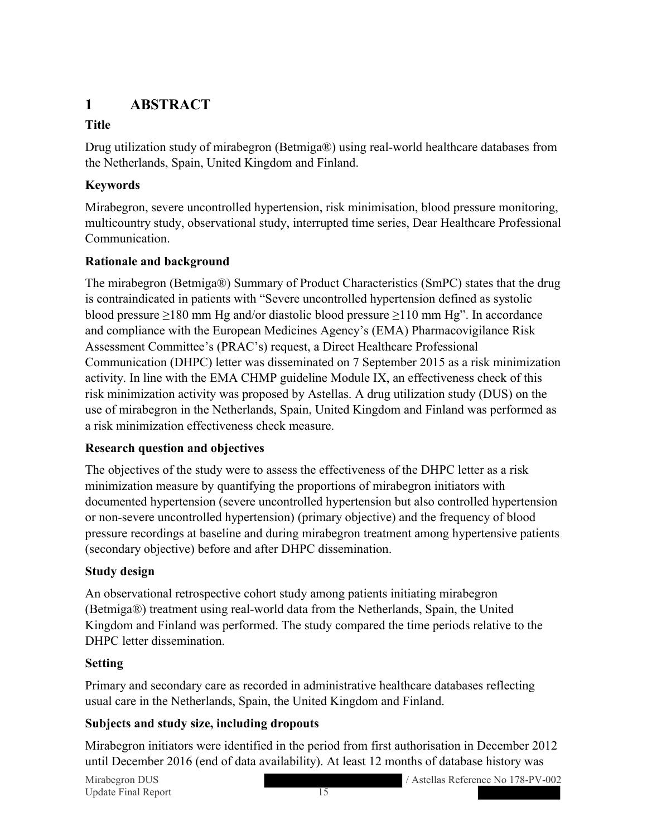# **1 ABSTRACT**

# **Title**

Drug utilization study of mirabegron (Betmiga®) using real-world healthcare databases from the Netherlands, Spain, United Kingdom and Finland.

# **Keywords**

Mirabegron, severe uncontrolled hypertension, risk minimisation, blood pressure monitoring, multicountry study, observational study, interrupted time series, Dear Healthcare Professional Communication.

## **Rationale and background**

The mirabegron (Betmiga®) Summary of Product Characteristics (SmPC) states that the drug is contraindicated in patients with "Severe uncontrolled hypertension defined as systolic blood pressure ≥180 mm Hg and/or diastolic blood pressure ≥110 mm Hg". In accordance and compliance with the European Medicines Agency's (EMA) Pharmacovigilance Risk Assessment Committee's (PRAC's) request, a Direct Healthcare Professional Communication (DHPC) letter was disseminated on 7 September 2015 as a risk minimization activity. In line with the EMA CHMP guideline Module IX, an effectiveness check of this risk minimization activity was proposed by Astellas. A drug utilization study (DUS) on the use of mirabegron in the Netherlands, Spain, United Kingdom and Finland was performed as a risk minimization effectiveness check measure.

### **Research question and objectives**

The objectives of the study were to assess the effectiveness of the DHPC letter as a risk minimization measure by quantifying the proportions of mirabegron initiators with documented hypertension (severe uncontrolled hypertension but also controlled hypertension or non-severe uncontrolled hypertension) (primary objective) and the frequency of blood pressure recordings at baseline and during mirabegron treatment among hypertensive patients (secondary objective) before and after DHPC dissemination.

### **Study design**

An observational retrospective cohort study among patients initiating mirabegron (Betmiga®) treatment using real-world data from the Netherlands, Spain, the United Kingdom and Finland was performed. The study compared the time periods relative to the DHPC letter dissemination.

### **Setting**

Primary and secondary care as recorded in administrative healthcare databases reflecting usual care in the Netherlands, Spain, the United Kingdom and Finland.

### **Subjects and study size, including dropouts**

Mirabegron initiators were identified in the period from first authorisation in December 2012 until December 2016 (end of data availability). At least 12 months of database history was

Update Final Report 15

Mirabegron DUS / Astellas Reference No 178-PV-002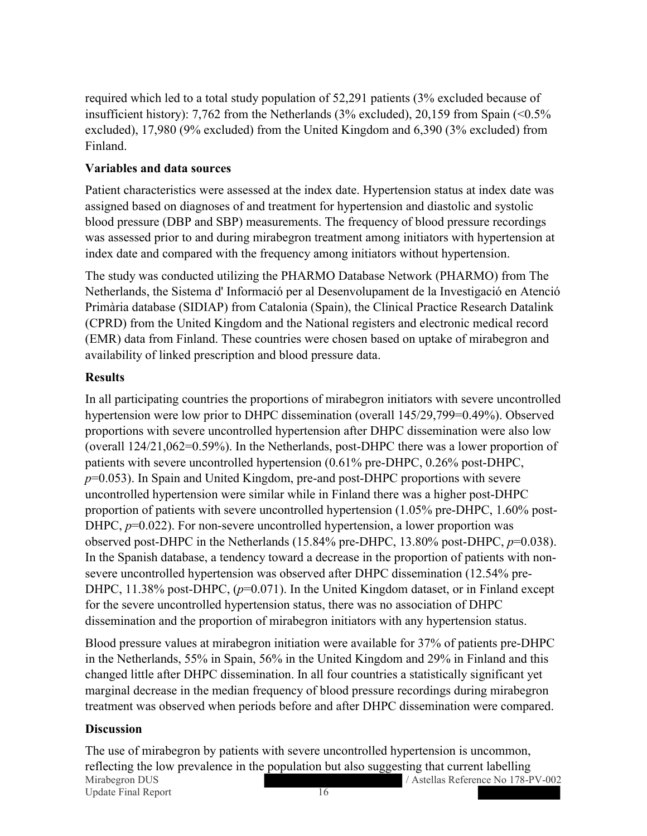required which led to a total study population of 52,291 patients (3% excluded because of insufficient history): 7,762 from the Netherlands (3% excluded), 20,159 from Spain  $\leq 0.5\%$ excluded), 17,980 (9% excluded) from the United Kingdom and 6,390 (3% excluded) from Finland.

#### **Variables and data sources**

Patient characteristics were assessed at the index date. Hypertension status at index date was assigned based on diagnoses of and treatment for hypertension and diastolic and systolic blood pressure (DBP and SBP) measurements. The frequency of blood pressure recordings was assessed prior to and during mirabegron treatment among initiators with hypertension at index date and compared with the frequency among initiators without hypertension.

The study was conducted utilizing the PHARMO Database Network (PHARMO) from The Netherlands, the Sistema d' Informació per al Desenvolupament de la Investigació en Atenció Primària database (SIDIAP) from Catalonia (Spain), the Clinical Practice Research Datalink (CPRD) from the United Kingdom and the National registers and electronic medical record (EMR) data from Finland. These countries were chosen based on uptake of mirabegron and availability of linked prescription and blood pressure data.

### **Results**

In all participating countries the proportions of mirabegron initiators with severe uncontrolled hypertension were low prior to DHPC dissemination (overall 145/29,799=0.49%). Observed proportions with severe uncontrolled hypertension after DHPC dissemination were also low (overall 124/21,062=0.59%). In the Netherlands, post-DHPC there was a lower proportion of patients with severe uncontrolled hypertension (0.61% pre-DHPC, 0.26% post-DHPC, *p*=0.053). In Spain and United Kingdom, pre-and post-DHPC proportions with severe uncontrolled hypertension were similar while in Finland there was a higher post-DHPC proportion of patients with severe uncontrolled hypertension (1.05% pre-DHPC, 1.60% post-DHPC,  $p=0.022$ ). For non-severe uncontrolled hypertension, a lower proportion was observed post-DHPC in the Netherlands (15.84% pre-DHPC, 13.80% post-DHPC, *p*=0.038). In the Spanish database, a tendency toward a decrease in the proportion of patients with nonsevere uncontrolled hypertension was observed after DHPC dissemination (12.54% pre-DHPC, 11.38% post-DHPC, ( $p=0.071$ ). In the United Kingdom dataset, or in Finland except for the severe uncontrolled hypertension status, there was no association of DHPC dissemination and the proportion of mirabegron initiators with any hypertension status.

Blood pressure values at mirabegron initiation were available for 37% of patients pre-DHPC in the Netherlands, 55% in Spain, 56% in the United Kingdom and 29% in Finland and this changed little after DHPC dissemination. In all four countries a statistically significant yet marginal decrease in the median frequency of blood pressure recordings during mirabegron treatment was observed when periods before and after DHPC dissemination were compared.

#### **Discussion**

Mirabegron DUS / Astellas Reference No 178-PV-002 Update Final Report 16 The use of mirabegron by patients with severe uncontrolled hypertension is uncommon, reflecting the low prevalence in the population but also suggesting that current labelling